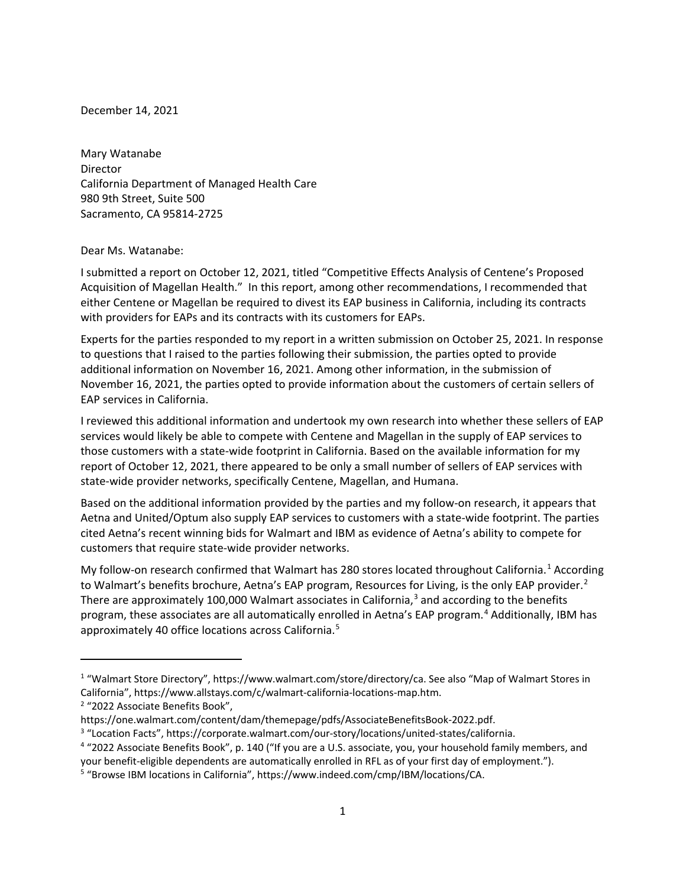December 14, 2021

Mary Watanabe Director California Department of Managed Health Care 980 9th Street, Suite 500 Sacramento, CA 95814-2725

## Dear Ms. Watanabe:

I submitted a report on October 12, 2021, titled "Competitive Effects Analysis of Centene's Proposed Acquisition of Magellan Health." In this report, among other recommendations, I recommended that either Centene or Magellan be required to divest its EAP business in California, including its contracts with providers for EAPs and its contracts with its customers for EAPs.

Experts for the parties responded to my report in a written submission on October 25, 2021. In response to questions that I raised to the parties following their submission, the parties opted to provide additional information on November 16, 2021. Among other information, in the submission of November 16, 2021, the parties opted to provide information about the customers of certain sellers of EAP services in California.

I reviewed this additional information and undertook my own research into whether these sellers of EAP services would likely be able to compete with Centene and Magellan in the supply of EAP services to those customers with a state-wide footprint in California. Based on the available information for my report of October 12, 2021, there appeared to be only a small number of sellers of EAP services with state-wide provider networks, specifically Centene, Magellan, and Humana.

Based on the additional information provided by the parties and my follow-on research, it appears that Aetna and United/Optum also supply EAP services to customers with a state-wide footprint. The parties cited Aetna's recent winning bids for Walmart and IBM as evidence of Aetna's ability to compete for customers that require state-wide provider networks.

My follow-on research confirmed that Walmart has 280 stores located throughout California.<sup>[1](#page-0-0)</sup> According to Walmart's benefits brochure, Aetna's EAP program, Resources for Living, is the only EAP provider.<sup>[2](#page-0-1)</sup> There are approximately 100,000 Walmart associates in California, $3$  and according to the benefits program, these associates are all automatically enrolled in Aetna's EAP program.<sup>[4](#page-0-3)</sup> Additionally, IBM has approximately 40 office locations across California.<sup>[5](#page-0-4)</sup>

<span id="page-0-0"></span><sup>1</sup> "Walmart Store Directory", https://www.walmart.com/store/directory/ca. See also "Map of Walmart Stores in California", https://www.allstays.com/c/walmart-california-locations-map.htm.<br><sup>2</sup> "2022 Associate Benefits Book",

<span id="page-0-1"></span>

https://one.walmart.com/content/dam/themepage/pdfs/AssociateBenefitsBook-2022.pdf.<br><sup>3</sup> "Location Facts", https://corporate.walmart.com/our-story/locations/united-states/california.

<span id="page-0-2"></span>

<span id="page-0-3"></span><sup>&</sup>lt;sup>4</sup> "2022 Associate Benefits Book", p. 140 ("If you are a U.S. associate, you, your household family members, and your benefit-eligible dependents are automatically enrolled in RFL as of your first day of employment.").

<span id="page-0-4"></span><sup>5</sup> "Browse IBM locations in California", https://www.indeed.com/cmp/IBM/locations/CA.